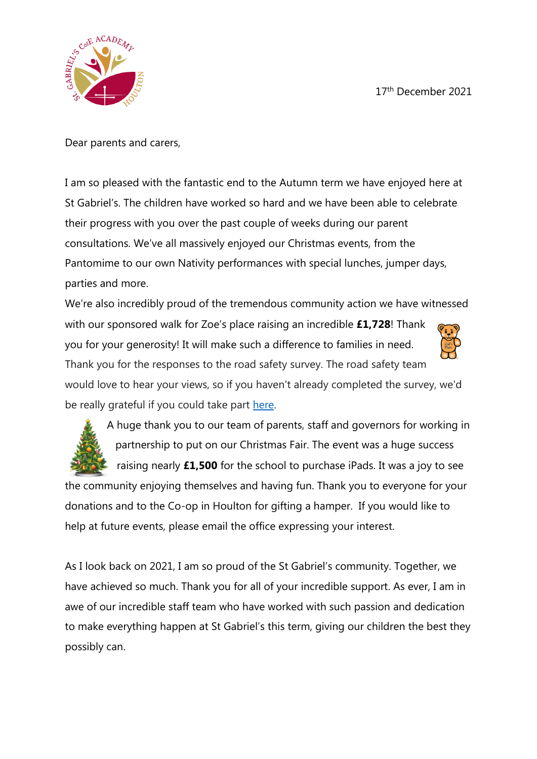17th December 2021



Dear parents and carers,

I am so pleased with the fantastic end to the Autumn term we have enjoyed here at St Gabriel's. The children have worked so hard and we have been able to celebrate their progress with you over the past couple of weeks during our parent consultations. We've all massively enjoyed our Christmas events, from the Pantomime to our own Nativity performances with special lunches, jumper days, parties and more.

We're also incredibly proud of the tremendous community action we have witnessed with our sponsored walk for Zoe's place raising an incredible **£1,728**! Thank you for your generosity! It will make such a difference to families in need. Thank you for the responses to the road safety survey. The road safety team would love to hear your views, so if you haven't already completed the survey, we'd be really grateful if you could take part [here.](https://forms.office.com/r/0WeztKeT2j)



A huge thank you to our team of parents, staff and governors for working in partnership to put on our Christmas Fair. The event was a huge success raising nearly **£1,500** for the school to purchase iPads. It was a joy to see

the community enjoying themselves and having fun. Thank you to everyone for your donations and to the Co-op in Houlton for gifting a hamper. If you would like to help at future events, please email the office expressing your interest.

As I look back on 2021, I am so proud of the St Gabriel's community. Together, we have achieved so much. Thank you for all of your incredible support. As ever, I am in awe of our incredible staff team who have worked with such passion and dedication to make everything happen at St Gabriel's this term, giving our children the best they possibly can.